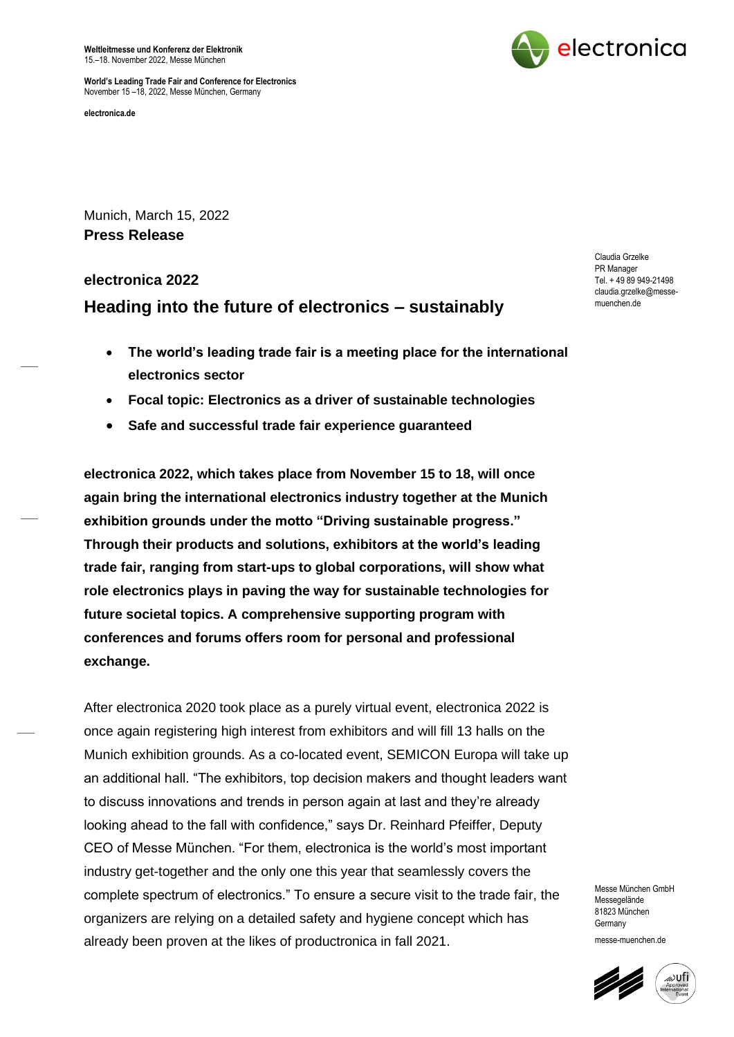**Weltleitmesse und Konferenz der Elektronik** 15.–18. November 2022, Messe München



**World's Leading Trade Fair and Conference for Electronics** November 15 –18, 2022, Messe München, Germany

**electronica.de** 

Munich, March 15, 2022 **Press Release**

# **electronica 2022 Heading into the future of electronics – sustainably**

- **The world's leading trade fair is a meeting place for the international electronics sector**
- **Focal topic: Electronics as a driver of sustainable technologies**
- **Safe and successful trade fair experience guaranteed**

**electronica 2022, which takes place from November 15 to 18, will once again bring the international electronics industry together at the Munich exhibition grounds under the motto "Driving sustainable progress." Through their products and solutions, exhibitors at the world's leading trade fair, ranging from start-ups to global corporations, will show what role electronics plays in paving the way for sustainable technologies for future societal topics. A comprehensive supporting program with conferences and forums offers room for personal and professional exchange.** 

After electronica 2020 took place as a purely virtual event, electronica 2022 is once again registering high interest from exhibitors and will fill 13 halls on the Munich exhibition grounds. As a co-located event, SEMICON Europa will take up an additional hall. "The exhibitors, top decision makers and thought leaders want to discuss innovations and trends in person again at last and they're already looking ahead to the fall with confidence," says Dr. Reinhard Pfeiffer, Deputy CEO of Messe München. "For them, electronica is the world's most important industry get-together and the only one this year that seamlessly covers the complete spectrum of electronics." To ensure a secure visit to the trade fair, the organizers are relying on a detailed safety and hygiene concept which has already been proven at the likes of productronica in fall 2021.

Messe München GmbH Messenelände 81823 München Germany messe-muenchen.de



Claudia Grzelke PR Manager Tel. + 49 89 949-21498 claudia.grzelke@messemuenchen.de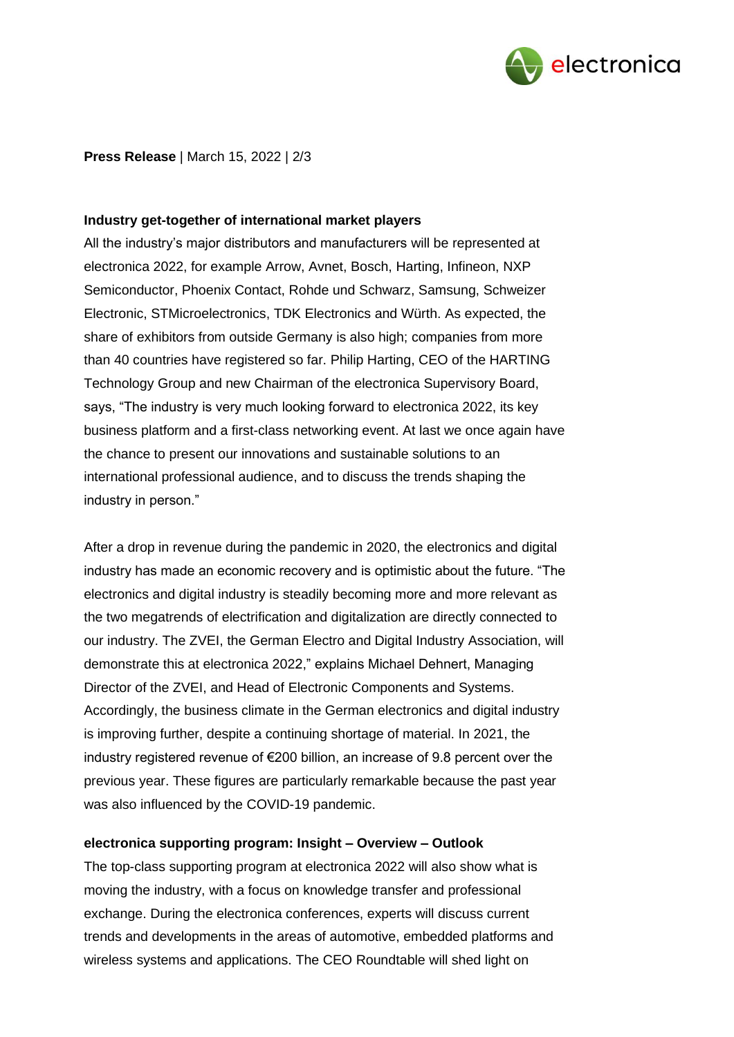

**Press Release** | March 15, 2022 | 2/3

## **Industry get-together of international market players**

All the industry's major distributors and manufacturers will be represented at electronica 2022, for example Arrow, Avnet, Bosch, Harting, Infineon, NXP Semiconductor, Phoenix Contact, Rohde und Schwarz, Samsung, Schweizer Electronic, STMicroelectronics, TDK Electronics and Würth. As expected, the share of exhibitors from outside Germany is also high; companies from more than 40 countries have registered so far. Philip Harting, CEO of the HARTING Technology Group and new Chairman of the electronica Supervisory Board, says, "The industry is very much looking forward to electronica 2022, its key business platform and a first-class networking event. At last we once again have the chance to present our innovations and sustainable solutions to an international professional audience, and to discuss the trends shaping the industry in person."

After a drop in revenue during the pandemic in 2020, the electronics and digital industry has made an economic recovery and is optimistic about the future. "The electronics and digital industry is steadily becoming more and more relevant as the two megatrends of electrification and digitalization are directly connected to our industry. The ZVEI, the German Electro and Digital Industry Association, will demonstrate this at electronica 2022," explains Michael Dehnert, Managing Director of the ZVEI, and Head of Electronic Components and Systems. Accordingly, the business climate in the German electronics and digital industry is improving further, despite a continuing shortage of material. In 2021, the industry registered revenue of €200 billion, an increase of 9.8 percent over the previous year. These figures are particularly remarkable because the past year was also influenced by the COVID-19 pandemic.

## **electronica supporting program: Insight – Overview – Outlook**

The top-class supporting program at electronica 2022 will also show what is moving the industry, with a focus on knowledge transfer and professional exchange. During the electronica conferences, experts will discuss current trends and developments in the areas of automotive, embedded platforms and wireless systems and applications. The CEO Roundtable will shed light on